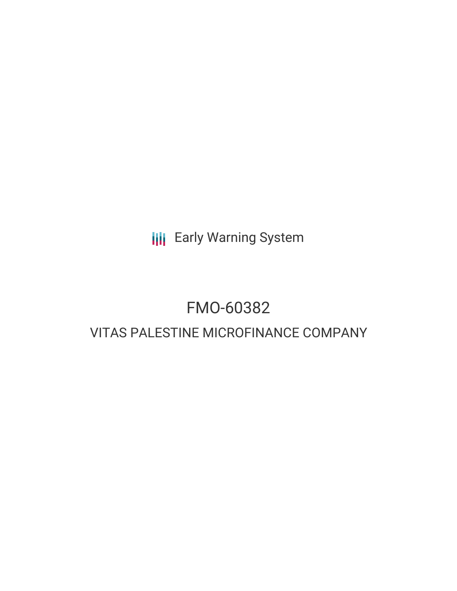**III** Early Warning System

# FMO-60382

# VITAS PALESTINE MICROFINANCE COMPANY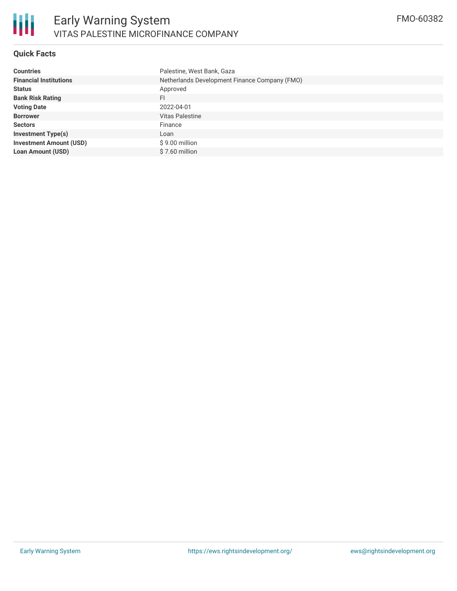

#### **Quick Facts**

| <b>Countries</b>               | Palestine, West Bank, Gaza                    |
|--------------------------------|-----------------------------------------------|
| <b>Financial Institutions</b>  | Netherlands Development Finance Company (FMO) |
| <b>Status</b>                  | Approved                                      |
| <b>Bank Risk Rating</b>        | FI.                                           |
| <b>Voting Date</b>             | 2022-04-01                                    |
| <b>Borrower</b>                | <b>Vitas Palestine</b>                        |
| <b>Sectors</b>                 | Finance                                       |
| <b>Investment Type(s)</b>      | Loan                                          |
| <b>Investment Amount (USD)</b> | $$9.00$ million                               |
| <b>Loan Amount (USD)</b>       | \$7.60 million                                |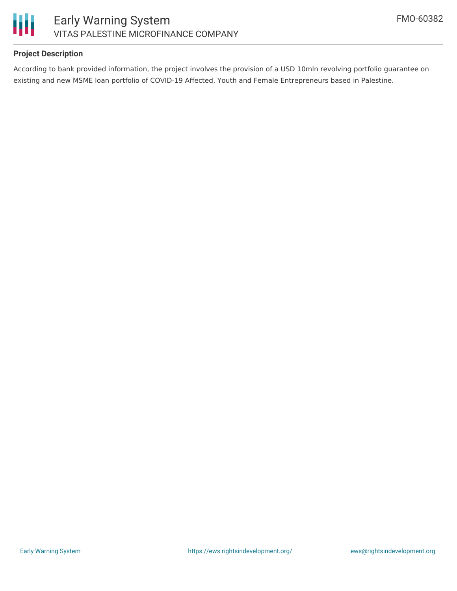

# **Project Description**

According to bank provided information, the project involves the provision of a USD 10mln revolving portfolio guarantee on existing and new MSME loan portfolio of COVID-19 Affected, Youth and Female Entrepreneurs based in Palestine.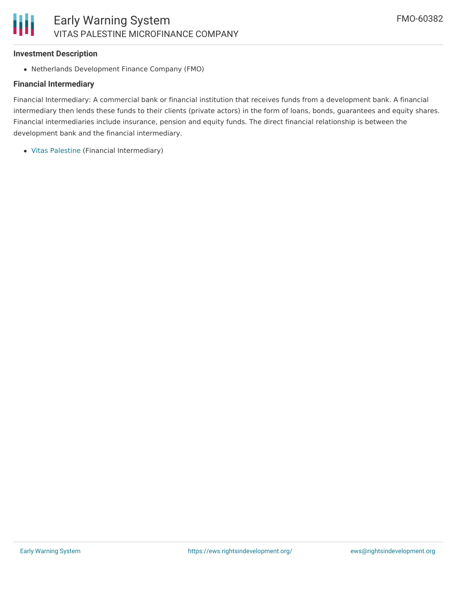#### **Investment Description**

Netherlands Development Finance Company (FMO)

#### **Financial Intermediary**

Financial Intermediary: A commercial bank or financial institution that receives funds from a development bank. A financial intermediary then lends these funds to their clients (private actors) in the form of loans, bonds, guarantees and equity shares. Financial intermediaries include insurance, pension and equity funds. The direct financial relationship is between the development bank and the financial intermediary.

Vitas [Palestine](file:///actor/2964/) (Financial Intermediary)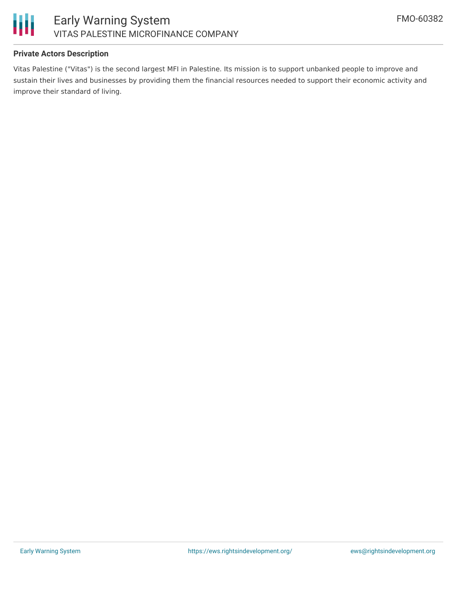

# **Private Actors Description**

Vitas Palestine ("Vitas") is the second largest MFI in Palestine. Its mission is to support unbanked people to improve and sustain their lives and businesses by providing them the financial resources needed to support their economic activity and improve their standard of living.